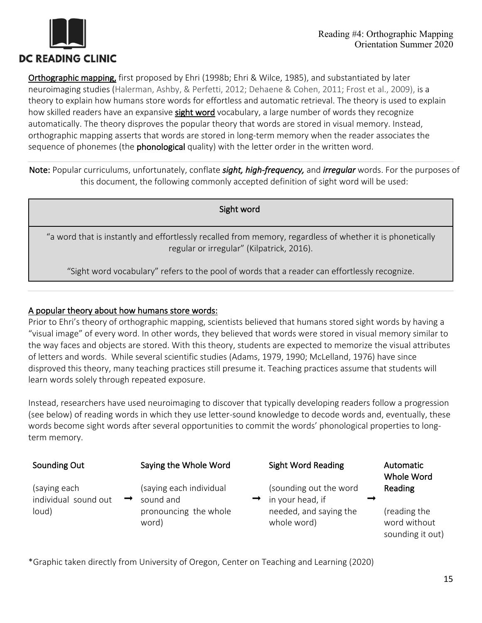

Orthographic mapping, first proposed by Ehri (1998b; Ehri & Wilce, 1985), and substantiated by later neuroimaging studies (Halerman, Ashby, & Perfetti, 2012; Dehaene & Cohen, 2011; Frost et al., 2009), is a theory to explain how humans store words for effortless and automatic retrieval. The theory is used to explain how skilled readers have an expansive sight word vocabulary, a large number of words they recognize automatically. The theory disproves the popular theory that words are stored in visual memory. Instead, orthographic mapping asserts that words are stored in long-term memory when the reader associates the sequence of phonemes (the **phonological** quality) with the letter order in the written word.

Note: Popular curriculums, unfortunately, conflate *sight, high-frequency,* and *irregular* words. For the purposes of this document, the following commonly accepted definition of sight word will be used:

Sight word

"a word that is instantly and effortlessly recalled from memory, regardless of whether it is phonetically regular or irregular" (Kilpatrick, 2016).

"Sight word vocabulary" refers to the pool of words that a reader can effortlessly recognize.

#### A popular theory about how humans store words:

Prior to Ehri's theory of orthographic mapping, scientists believed that humans stored sight words by having a "visual image" of every word. In other words, they believed that words were stored in visual memory similar to the way faces and objects are stored. With this theory, students are expected to memorize the visual attributes of letters and words. While several scientific studies (Adams, 1979, 1990; McLelland, 1976) have since disproved this theory, many teaching practices still presume it. Teaching practices assume that students will learn words solely through repeated exposure.

Instead, researchers have used neuroimaging to discover that typically developing readers follow a progression (see below) of reading words in which they use letter-sound knowledge to decode words and, eventually, these words become sight words after several opportunities to commit the words' phonological properties to longterm memory.

| Sounding Out                         | Saying the Whole Word                | <b>Sight Word Reading</b>                  | Automatic<br>Whole Word                          |
|--------------------------------------|--------------------------------------|--------------------------------------------|--------------------------------------------------|
| (saying each<br>individual sound out | (saying each individual<br>sound and | (sounding out the word<br>in your head, if | Reading                                          |
| loud)                                | pronouncing the whole<br>word)       | needed, and saying the<br>whole word)      | (reading the<br>word without<br>sounding it out) |

\*Graphic taken directly from University of Oregon, Center on Teaching and Learning (2020)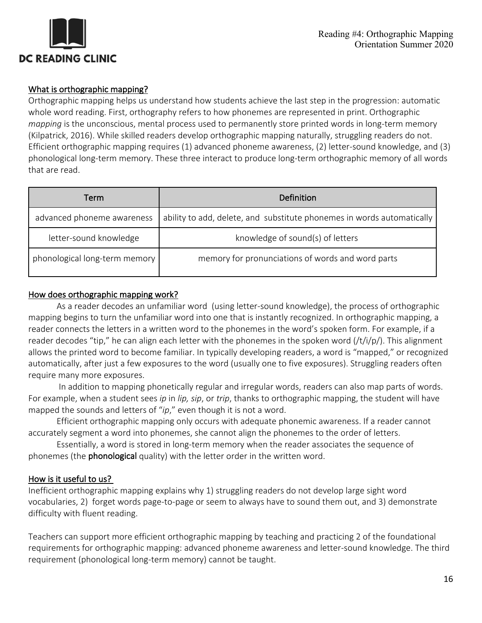

# What is orthographic mapping?

Orthographic mapping helps us understand how students achieve the last step in the progression: automatic whole word reading. First, orthography refers to how phonemes are represented in print. Orthographic *mapping* is the unconscious, mental process used to permanently store printed words in long-term memory (Kilpatrick, 2016). While skilled readers develop orthographic mapping naturally, struggling readers do not. Efficient orthographic mapping requires (1) advanced phoneme awareness, (2) letter-sound knowledge, and (3) phonological long-term memory. These three interact to produce long-term orthographic memory of all words that are read.

| Term                          | Definition                                                             |  |
|-------------------------------|------------------------------------------------------------------------|--|
| advanced phoneme awareness    | ability to add, delete, and substitute phonemes in words automatically |  |
| letter-sound knowledge        | knowledge of sound(s) of letters                                       |  |
| phonological long-term memory | memory for pronunciations of words and word parts                      |  |

## How does orthographic mapping work?

As a reader decodes an unfamiliar word (using letter-sound knowledge), the process of orthographic mapping begins to turn the unfamiliar word into one that is instantly recognized. In orthographic mapping, a reader connects the letters in a written word to the phonemes in the word's spoken form. For example, if a reader decodes "tip," he can align each letter with the phonemes in the spoken word (/t/i/p/). This alignment allows the printed word to become familiar. In typically developing readers, a word is "mapped," or recognized automatically, after just a few exposures to the word (usually one to five exposures). Struggling readers often require many more exposures.

In addition to mapping phonetically regular and irregular words, readers can also map parts of words. For example, when a student sees *ip* in *lip, sip*, or *trip*, thanks to orthographic mapping, the student will have mapped the sounds and letters of "*ip*," even though it is not a word.

Efficient orthographic mapping only occurs with adequate phonemic awareness. If a reader cannot accurately segment a word into phonemes, she cannot align the phonemes to the order of letters.

Essentially, a word is stored in long-term memory when the reader associates the sequence of phonemes (the **phonological** quality) with the letter order in the written word.

## How is it useful to us?

Inefficient orthographic mapping explains why 1) struggling readers do not develop large sight word vocabularies, 2) forget words page-to-page or seem to always have to sound them out, and 3) demonstrate difficulty with fluent reading.

Teachers can support more efficient orthographic mapping by teaching and practicing 2 of the foundational requirements for orthographic mapping: advanced phoneme awareness and letter-sound knowledge. The third requirement (phonological long-term memory) cannot be taught.